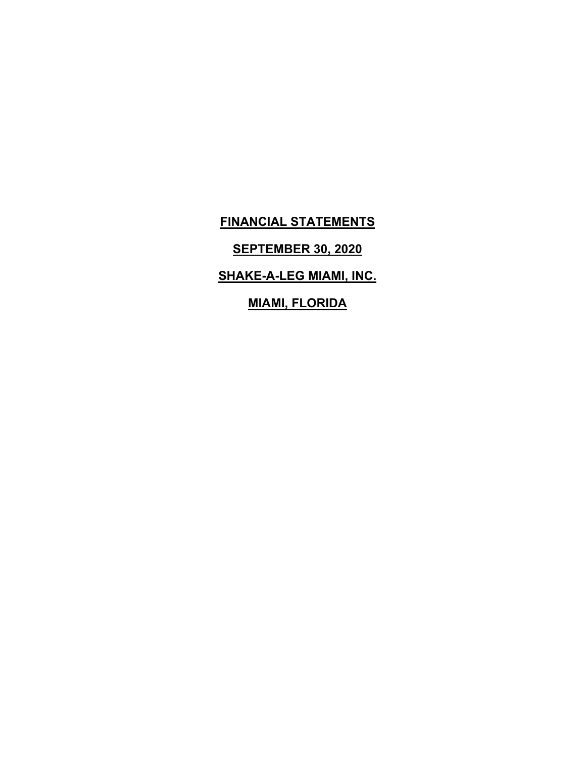# **FINANCIAL STATEMENTS**

# **SEPTEMBER 30, 2020**

**SHAKE-A-LEG MIAMI, INC.** 

**MIAMI, FLORIDA**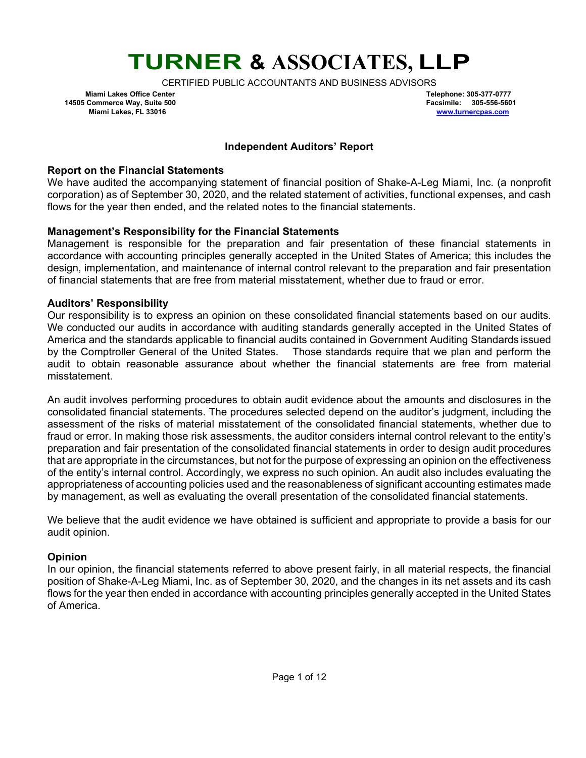# **TURNER & ASSOCIATES, LLP**

CERTIFIED PUBLIC ACCOUNTANTS AND BUSINESS ADVISORS

 **Miami Lakes Office Center Telephone: 305-377-0777 14505 Commerce Way, Suite 500 Facsimile: 305-556-5601** 

 **Miami Lakes, FL 33016 www.turnercpas.com**

# **Independent Auditors' Report**

# **Report on the Financial Statements**

We have audited the accompanying statement of financial position of Shake-A-Leg Miami, Inc. (a nonprofit corporation) as of September 30, 2020, and the related statement of activities, functional expenses, and cash flows for the year then ended, and the related notes to the financial statements.

# **Management's Responsibility for the Financial Statements**

Management is responsible for the preparation and fair presentation of these financial statements in accordance with accounting principles generally accepted in the United States of America; this includes the design, implementation, and maintenance of internal control relevant to the preparation and fair presentation of financial statements that are free from material misstatement, whether due to fraud or error.

#### **Auditors' Responsibility**

Our responsibility is to express an opinion on these consolidated financial statements based on our audits. We conducted our audits in accordance with auditing standards generally accepted in the United States of America and the standards applicable to financial audits contained in Government Auditing Standards issued by the Comptroller General of the United States. Those standards require that we plan and perform the audit to obtain reasonable assurance about whether the financial statements are free from material misstatement.

An audit involves performing procedures to obtain audit evidence about the amounts and disclosures in the consolidated financial statements. The procedures selected depend on the auditor's judgment, including the assessment of the risks of material misstatement of the consolidated financial statements, whether due to fraud or error. In making those risk assessments, the auditor considers internal control relevant to the entity's preparation and fair presentation of the consolidated financial statements in order to design audit procedures that are appropriate in the circumstances, but not for the purpose of expressing an opinion on the effectiveness of the entity's internal control. Accordingly, we express no such opinion. An audit also includes evaluating the appropriateness of accounting policies used and the reasonableness of significant accounting estimates made by management, as well as evaluating the overall presentation of the consolidated financial statements.

We believe that the audit evidence we have obtained is sufficient and appropriate to provide a basis for our audit opinion.

#### **Opinion**

In our opinion, the financial statements referred to above present fairly, in all material respects, the financial position of Shake-A-Leg Miami, Inc. as of September 30, 2020, and the changes in its net assets and its cash flows for the year then ended in accordance with accounting principles generally accepted in the United States of America.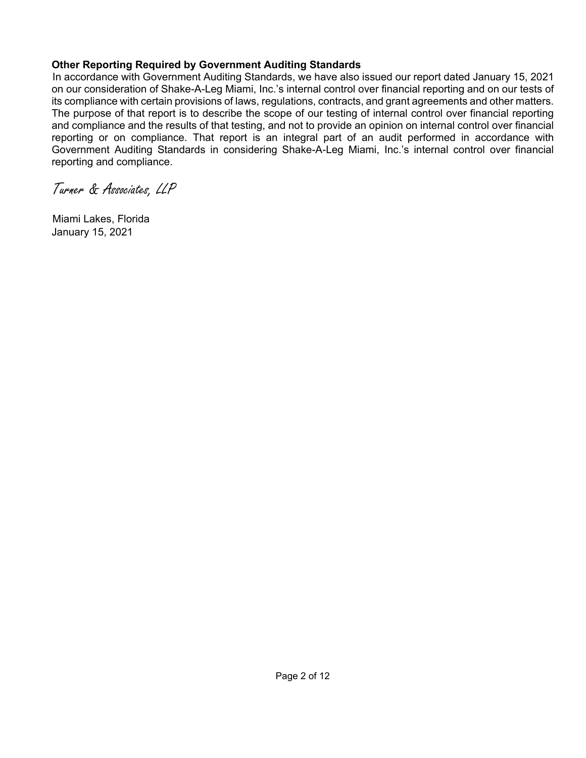# **Other Reporting Required by Government Auditing Standards**

In accordance with Government Auditing Standards, we have also issued our report dated January 15, 2021 on our consideration of Shake-A-Leg Miami, Inc.'s internal control over financial reporting and on our tests of its compliance with certain provisions of laws, regulations, contracts, and grant agreements and other matters. The purpose of that report is to describe the scope of our testing of internal control over financial reporting and compliance and the results of that testing, and not to provide an opinion on internal control over financial reporting or on compliance. That report is an integral part of an audit performed in accordance with Government Auditing Standards in considering Shake-A-Leg Miami, Inc.'s internal control over financial reporting and compliance.

Turner & Associates, LLP

Miami Lakes, Florida January 15, 2021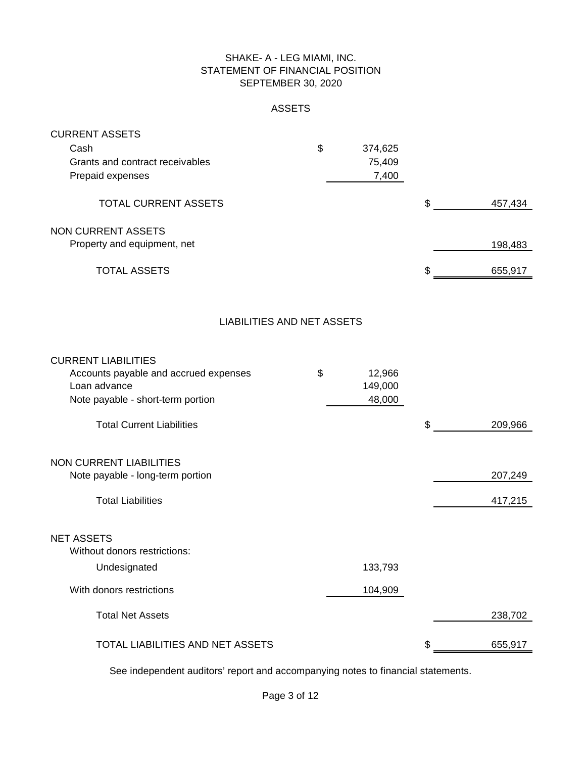## SHAKE- A - LEG MIAMI, INC. STATEMENT OF FINANCIAL POSITION SEPTEMBER 30, 2020

#### ASSETS

| <b>CURRENT ASSETS</b><br>Cash<br>Grants and contract receivables<br>Prepaid expenses                                     | \$                                | 374,625<br>75,409<br>7,400  |                    |
|--------------------------------------------------------------------------------------------------------------------------|-----------------------------------|-----------------------------|--------------------|
| <b>TOTAL CURRENT ASSETS</b>                                                                                              |                                   |                             | \$<br>457,434      |
| <b>NON CURRENT ASSETS</b><br>Property and equipment, net                                                                 |                                   |                             | 198,483            |
| <b>TOTAL ASSETS</b>                                                                                                      |                                   |                             | \$<br>655,917      |
|                                                                                                                          | <b>LIABILITIES AND NET ASSETS</b> |                             |                    |
| <b>CURRENT LIABILITIES</b><br>Accounts payable and accrued expenses<br>Loan advance<br>Note payable - short-term portion | \$                                | 12,966<br>149,000<br>48,000 |                    |
| <b>Total Current Liabilities</b>                                                                                         |                                   |                             | \$<br>209,966      |
| <b>NON CURRENT LIABILITIES</b><br>Note payable - long-term portion<br><b>Total Liabilities</b>                           |                                   |                             | 207,249<br>417,215 |
| <b>NET ASSETS</b><br>Without donors restrictions:                                                                        |                                   |                             |                    |
| Undesignated                                                                                                             |                                   | 133,793                     |                    |
| With donors restrictions                                                                                                 |                                   | 104,909                     |                    |
| <b>Total Net Assets</b>                                                                                                  |                                   |                             | 238,702            |
| TOTAL LIABILITIES AND NET ASSETS                                                                                         |                                   |                             | \$<br>655,917      |

See independent auditors' report and accompanying notes to financial statements.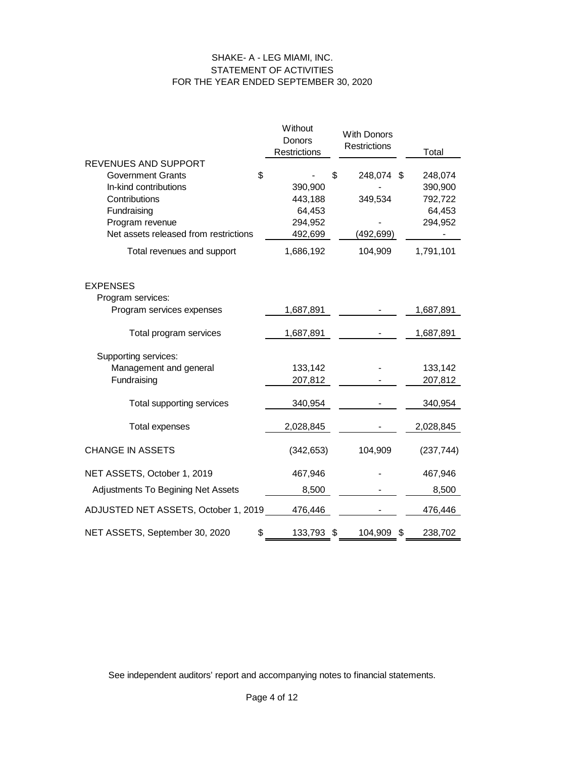#### STATEMENT OF ACTIVITIES FOR THE YEAR ENDED SEPTEMBER 30, 2020 SHAKE- A - LEG MIAMI, INC.

|                                       | Without<br>Donors<br>Restrictions | <b>With Donors</b><br><b>Restrictions</b> |   | Total             |
|---------------------------------------|-----------------------------------|-------------------------------------------|---|-------------------|
| <b>REVENUES AND SUPPORT</b>           |                                   |                                           |   |                   |
| <b>Government Grants</b>              | \$                                | \$<br>248,074 \$                          |   | 248,074           |
| In-kind contributions                 | 390,900                           |                                           |   | 390,900           |
| Contributions                         | 443,188                           | 349,534                                   |   | 792,722           |
| Fundraising<br>Program revenue        | 64,453<br>294,952                 |                                           |   | 64,453<br>294,952 |
| Net assets released from restrictions | 492,699                           | (492, 699)                                |   |                   |
| Total revenues and support            | 1,686,192                         | 104,909                                   |   | 1,791,101         |
| <b>EXPENSES</b>                       |                                   |                                           |   |                   |
| Program services:                     |                                   |                                           |   |                   |
| Program services expenses             | 1,687,891                         |                                           |   | 1,687,891         |
| Total program services                | 1,687,891                         |                                           |   | 1,687,891         |
| Supporting services:                  |                                   |                                           |   |                   |
| Management and general                | 133,142                           |                                           |   | 133,142           |
| Fundraising                           | 207,812                           |                                           |   | 207,812           |
| Total supporting services             | 340,954                           |                                           |   | 340,954           |
| <b>Total expenses</b>                 | 2,028,845                         |                                           |   | 2,028,845         |
| <b>CHANGE IN ASSETS</b>               | (342, 653)                        | 104,909                                   |   | (237, 744)        |
| NET ASSETS, October 1, 2019           | 467,946                           |                                           |   | 467,946           |
| Adjustments To Begining Net Assets    | 8,500                             |                                           |   | 8,500             |
| ADJUSTED NET ASSETS, October 1, 2019  | 476,446                           |                                           |   | 476,446           |
| NET ASSETS, September 30, 2020        | \$<br>133,793                     | \$<br>104,909                             | S | 238,702           |

See independent auditors' report and accompanying notes to financial statements.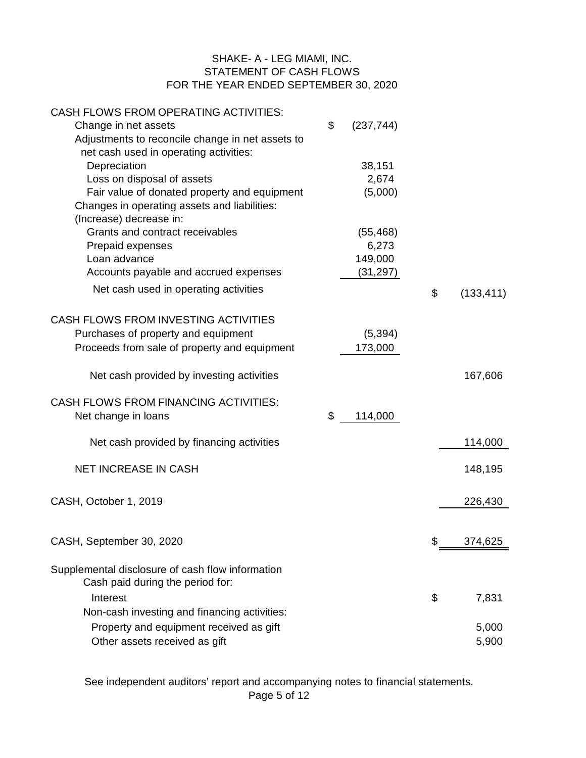# SHAKE- A - LEG MIAMI, INC. STATEMENT OF CASH FLOWS FOR THE YEAR ENDED SEPTEMBER 30, 2020

| <b>CASH FLOWS FROM OPERATING ACTIVITIES:</b>     |                  |    |            |
|--------------------------------------------------|------------------|----|------------|
| Change in net assets                             | \$<br>(237, 744) |    |            |
| Adjustments to reconcile change in net assets to |                  |    |            |
| net cash used in operating activities:           |                  |    |            |
| Depreciation                                     | 38,151           |    |            |
| Loss on disposal of assets                       | 2,674            |    |            |
| Fair value of donated property and equipment     | (5,000)          |    |            |
| Changes in operating assets and liabilities:     |                  |    |            |
| (Increase) decrease in:                          |                  |    |            |
| Grants and contract receivables                  | (55, 468)        |    |            |
| Prepaid expenses                                 | 6,273            |    |            |
| Loan advance                                     | 149,000          |    |            |
| Accounts payable and accrued expenses            | (31, 297)        |    |            |
|                                                  |                  |    |            |
| Net cash used in operating activities            |                  | \$ | (133, 411) |
|                                                  |                  |    |            |
| CASH FLOWS FROM INVESTING ACTIVITIES             |                  |    |            |
| Purchases of property and equipment              | (5, 394)         |    |            |
| Proceeds from sale of property and equipment     | 173,000          |    |            |
| Net cash provided by investing activities        |                  |    | 167,606    |
|                                                  |                  |    |            |
| <b>CASH FLOWS FROM FINANCING ACTIVITIES:</b>     |                  |    |            |
| Net change in loans                              | \$<br>114,000    |    |            |
|                                                  |                  |    |            |
| Net cash provided by financing activities        |                  |    | 114,000    |
|                                                  |                  |    |            |
| <b>NET INCREASE IN CASH</b>                      |                  |    | 148,195    |
|                                                  |                  |    |            |
| CASH, October 1, 2019                            |                  |    | 226,430    |
|                                                  |                  |    |            |
|                                                  |                  |    |            |
| CASH, September 30, 2020                         |                  | S  | 374,625    |
|                                                  |                  |    |            |
| Supplemental disclosure of cash flow information |                  |    |            |
| Cash paid during the period for:                 |                  |    |            |
| Interest                                         |                  | \$ | 7,831      |
| Non-cash investing and financing activities:     |                  |    |            |
|                                                  |                  |    |            |
| Property and equipment received as gift          |                  |    | 5,000      |
| Other assets received as gift                    |                  |    | 5,900      |

See independent auditors' report and accompanying notes to financial statements. Page 5 of 12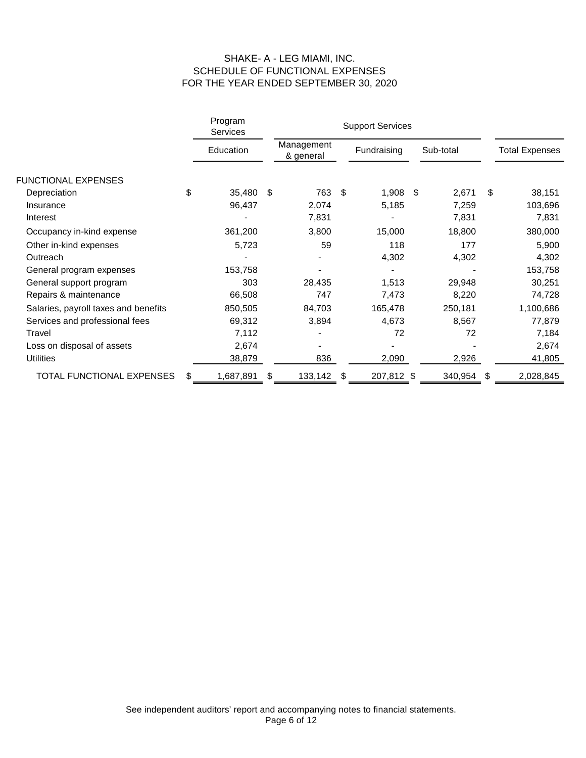# SHAKE- A - LEG MIAMI, INC. SCHEDULE OF FUNCTIONAL EXPENSES FOR THE YEAR ENDED SEPTEMBER 30, 2020

|                                      |    | Program<br>Services |      | <b>Support Services</b> |    |             |     |           |                       |
|--------------------------------------|----|---------------------|------|-------------------------|----|-------------|-----|-----------|-----------------------|
|                                      |    | Education           |      | Management<br>& general |    | Fundraising |     | Sub-total | <b>Total Expenses</b> |
| <b>FUNCTIONAL EXPENSES</b>           |    |                     |      |                         |    |             |     |           |                       |
| Depreciation                         | \$ | 35,480              | - \$ | 763                     | \$ | 1,908       | -\$ | 2,671     | \$<br>38,151          |
| Insurance                            |    | 96,437              |      | 2,074                   |    | 5,185       |     | 7,259     | 103,696               |
| Interest                             |    |                     |      | 7,831                   |    |             |     | 7,831     | 7,831                 |
| Occupancy in-kind expense            |    | 361,200             |      | 3,800                   |    | 15,000      |     | 18,800    | 380,000               |
| Other in-kind expenses               |    | 5,723               |      | 59                      |    | 118         |     | 177       | 5,900                 |
| Outreach                             |    |                     |      |                         |    | 4,302       |     | 4,302     | 4,302                 |
| General program expenses             |    | 153,758             |      |                         |    |             |     |           | 153,758               |
| General support program              |    | 303                 |      | 28,435                  |    | 1,513       |     | 29,948    | 30,251                |
| Repairs & maintenance                |    | 66,508              |      | 747                     |    | 7,473       |     | 8,220     | 74,728                |
| Salaries, payroll taxes and benefits |    | 850,505             |      | 84,703                  |    | 165,478     |     | 250,181   | 1,100,686             |
| Services and professional fees       |    | 69,312              |      | 3,894                   |    | 4,673       |     | 8,567     | 77,879                |
| Travel                               |    | 7,112               |      |                         |    | 72          |     | 72        | 7,184                 |
| Loss on disposal of assets           |    | 2,674               |      |                         |    |             |     |           | 2,674                 |
| <b>Utilities</b>                     |    | 38,879              |      | 836                     |    | 2,090       |     | 2,926     | 41,805                |
| <b>TOTAL FUNCTIONAL EXPENSES</b>     | S. | 1,687,891           | S    | 133,142                 | S  | 207,812 \$  |     | 340,954   | \$<br>2,028,845       |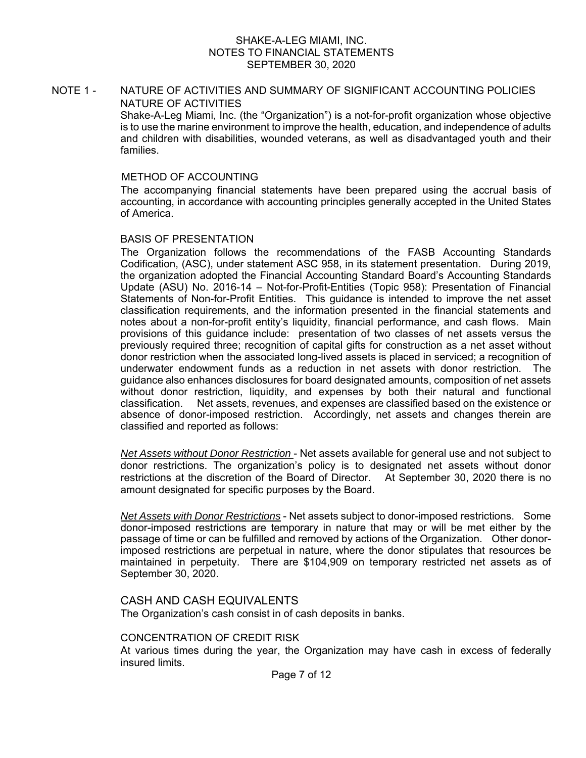# NOTE 1 - NATURE OF ACTIVITIES AND SUMMARY OF SIGNIFICANT ACCOUNTING POLICIES NATURE OF ACTIVITIES

Shake-A-Leg Miami, Inc. (the "Organization") is a not-for-profit organization whose objective is to use the marine environment to improve the health, education, and independence of adults and children with disabilities, wounded veterans, as well as disadvantaged youth and their families.

#### METHOD OF ACCOUNTING

The accompanying financial statements have been prepared using the accrual basis of accounting, in accordance with accounting principles generally accepted in the United States of America.

#### BASIS OF PRESENTATION

The Organization follows the recommendations of the FASB Accounting Standards Codification, (ASC), under statement ASC 958, in its statement presentation. During 2019, the organization adopted the Financial Accounting Standard Board's Accounting Standards Update (ASU) No. 2016-14 – Not-for-Profit-Entities (Topic 958): Presentation of Financial Statements of Non-for-Profit Entities. This guidance is intended to improve the net asset classification requirements, and the information presented in the financial statements and notes about a non-for-profit entity's liquidity, financial performance, and cash flows. Main provisions of this guidance include: presentation of two classes of net assets versus the previously required three; recognition of capital gifts for construction as a net asset without donor restriction when the associated long-lived assets is placed in serviced; a recognition of underwater endowment funds as a reduction in net assets with donor restriction. The guidance also enhances disclosures for board designated amounts, composition of net assets without donor restriction, liquidity, and expenses by both their natural and functional classification. Net assets, revenues, and expenses are classified based on the existence or absence of donor-imposed restriction. Accordingly, net assets and changes therein are classified and reported as follows:

 *Net Assets without Donor Restriction* - Net assets available for general use and not subject to donor restrictions. The organization's policy is to designated net assets without donor restrictions at the discretion of the Board of Director. At September 30, 2020 there is no amount designated for specific purposes by the Board.

 *Net Assets with Donor Restrictions* - Net assets subject to donor-imposed restrictions. Some donor-imposed restrictions are temporary in nature that may or will be met either by the passage of time or can be fulfilled and removed by actions of the Organization. Other donorimposed restrictions are perpetual in nature, where the donor stipulates that resources be maintained in perpetuity. There are \$104,909 on temporary restricted net assets as of September 30, 2020.

#### CASH AND CASH EQUIVALENTS

The Organization's cash consist in of cash deposits in banks.

#### CONCENTRATION OF CREDIT RISK

At various times during the year, the Organization may have cash in excess of federally insured limits.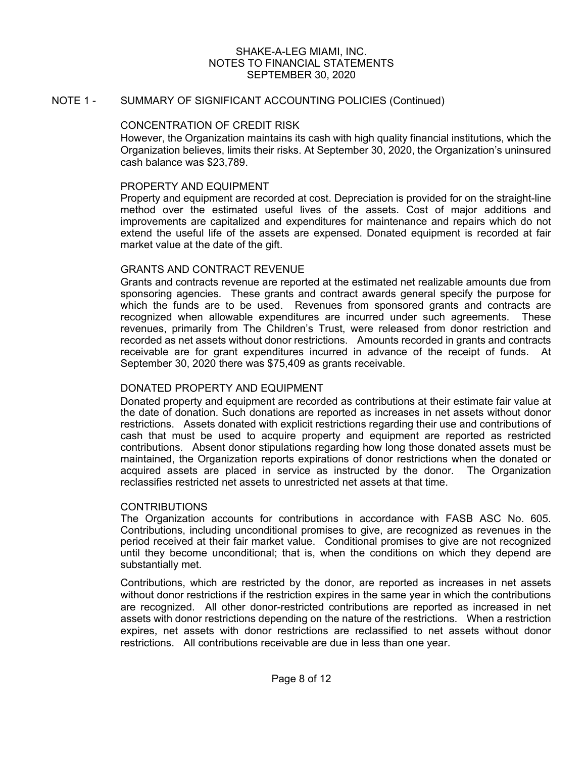# NOTE 1 - SUMMARY OF SIGNIFICANT ACCOUNTING POLICIES (Continued)

#### CONCENTRATION OF CREDIT RISK

However, the Organization maintains its cash with high quality financial institutions, which the Organization believes, limits their risks. At September 30, 2020, the Organization's uninsured cash balance was \$23,789.

#### PROPERTY AND EQUIPMENT

Property and equipment are recorded at cost. Depreciation is provided for on the straight-line method over the estimated useful lives of the assets. Cost of major additions and improvements are capitalized and expenditures for maintenance and repairs which do not extend the useful life of the assets are expensed. Donated equipment is recorded at fair market value at the date of the gift.

#### GRANTS AND CONTRACT REVENUE

Grants and contracts revenue are reported at the estimated net realizable amounts due from sponsoring agencies. These grants and contract awards general specify the purpose for which the funds are to be used. Revenues from sponsored grants and contracts are recognized when allowable expenditures are incurred under such agreements. These revenues, primarily from The Children's Trust, were released from donor restriction and recorded as net assets without donor restrictions. Amounts recorded in grants and contracts receivable are for grant expenditures incurred in advance of the receipt of funds. At September 30, 2020 there was \$75,409 as grants receivable.

#### DONATED PROPERTY AND EQUIPMENT

Donated property and equipment are recorded as contributions at their estimate fair value at the date of donation. Such donations are reported as increases in net assets without donor restrictions. Assets donated with explicit restrictions regarding their use and contributions of cash that must be used to acquire property and equipment are reported as restricted contributions. Absent donor stipulations regarding how long those donated assets must be maintained, the Organization reports expirations of donor restrictions when the donated or acquired assets are placed in service as instructed by the donor. The Organization reclassifies restricted net assets to unrestricted net assets at that time.

#### CONTRIBUTIONS

The Organization accounts for contributions in accordance with FASB ASC No. 605. Contributions, including unconditional promises to give, are recognized as revenues in the period received at their fair market value. Conditional promises to give are not recognized until they become unconditional; that is, when the conditions on which they depend are substantially met.

Contributions, which are restricted by the donor, are reported as increases in net assets without donor restrictions if the restriction expires in the same year in which the contributions are recognized. All other donor-restricted contributions are reported as increased in net assets with donor restrictions depending on the nature of the restrictions. When a restriction expires, net assets with donor restrictions are reclassified to net assets without donor restrictions. All contributions receivable are due in less than one year.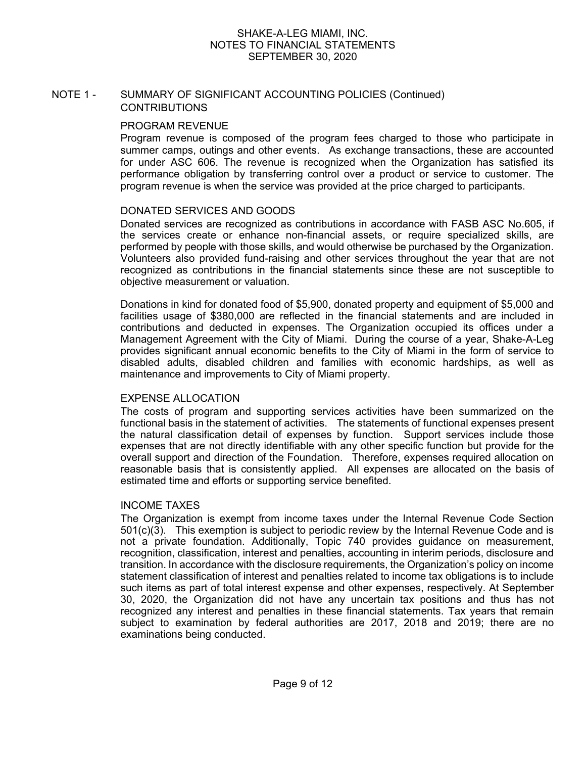# NOTE 1 - SUMMARY OF SIGNIFICANT ACCOUNTING POLICIES (Continued) CONTRIBUTIONS

#### PROGRAM REVENUE

Program revenue is composed of the program fees charged to those who participate in summer camps, outings and other events. As exchange transactions, these are accounted for under ASC 606. The revenue is recognized when the Organization has satisfied its performance obligation by transferring control over a product or service to customer. The program revenue is when the service was provided at the price charged to participants.

#### DONATED SERVICES AND GOODS

Donated services are recognized as contributions in accordance with FASB ASC No.605, if the services create or enhance non-financial assets, or require specialized skills, are performed by people with those skills, and would otherwise be purchased by the Organization. Volunteers also provided fund-raising and other services throughout the year that are not recognized as contributions in the financial statements since these are not susceptible to objective measurement or valuation.

Donations in kind for donated food of \$5,900, donated property and equipment of \$5,000 and facilities usage of \$380,000 are reflected in the financial statements and are included in contributions and deducted in expenses. The Organization occupied its offices under a Management Agreement with the City of Miami. During the course of a year, Shake-A-Leg provides significant annual economic benefits to the City of Miami in the form of service to disabled adults, disabled children and families with economic hardships, as well as maintenance and improvements to City of Miami property.

#### EXPENSE ALLOCATION

The costs of program and supporting services activities have been summarized on the functional basis in the statement of activities. The statements of functional expenses present the natural classification detail of expenses by function. Support services include those expenses that are not directly identifiable with any other specific function but provide for the overall support and direction of the Foundation. Therefore, expenses required allocation on reasonable basis that is consistently applied. All expenses are allocated on the basis of estimated time and efforts or supporting service benefited.

#### INCOME TAXES

The Organization is exempt from income taxes under the Internal Revenue Code Section 501(c)(3). This exemption is subject to periodic review by the Internal Revenue Code and is not a private foundation. Additionally, Topic 740 provides guidance on measurement, recognition, classification, interest and penalties, accounting in interim periods, disclosure and transition. In accordance with the disclosure requirements, the Organization's policy on income statement classification of interest and penalties related to income tax obligations is to include such items as part of total interest expense and other expenses, respectively. At September 30, 2020, the Organization did not have any uncertain tax positions and thus has not recognized any interest and penalties in these financial statements. Tax years that remain subject to examination by federal authorities are 2017, 2018 and 2019; there are no examinations being conducted.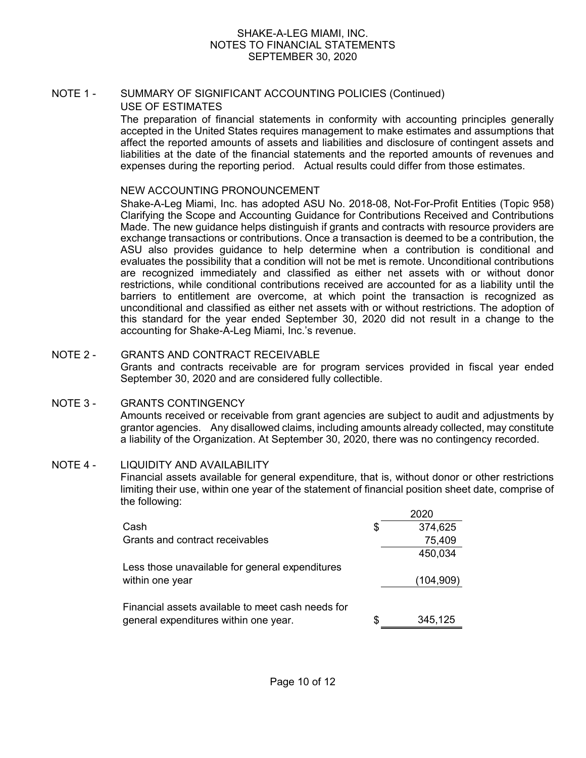# NOTE 1 - SUMMARY OF SIGNIFICANT ACCOUNTING POLICIES (Continued) USE OF ESTIMATES

The preparation of financial statements in conformity with accounting principles generally accepted in the United States requires management to make estimates and assumptions that affect the reported amounts of assets and liabilities and disclosure of contingent assets and liabilities at the date of the financial statements and the reported amounts of revenues and expenses during the reporting period. Actual results could differ from those estimates.

#### NEW ACCOUNTING PRONOUNCEMENT

Shake-A-Leg Miami, Inc. has adopted ASU No. 2018-08, Not-For-Profit Entities (Topic 958) Clarifying the Scope and Accounting Guidance for Contributions Received and Contributions Made. The new guidance helps distinguish if grants and contracts with resource providers are exchange transactions or contributions. Once a transaction is deemed to be a contribution, the ASU also provides guidance to help determine when a contribution is conditional and evaluates the possibility that a condition will not be met is remote. Unconditional contributions are recognized immediately and classified as either net assets with or without donor restrictions, while conditional contributions received are accounted for as a liability until the barriers to entitlement are overcome, at which point the transaction is recognized as unconditional and classified as either net assets with or without restrictions. The adoption of this standard for the year ended September 30, 2020 did not result in a change to the accounting for Shake-A-Leg Miami, Inc.'s revenue.

#### NOTE 2 - GRANTS AND CONTRACT RECEIVABLE Grants and contracts receivable are for program services provided in fiscal year ended September 30, 2020 and are considered fully collectible.

#### NOTE 3 - GRANTS CONTINGENCY

 Amounts received or receivable from grant agencies are subject to audit and adjustments by grantor agencies. Any disallowed claims, including amounts already collected, may constitute a liability of the Organization. At September 30, 2020, there was no contingency recorded.

#### NOTE 4 - LIQUIDITY AND AVAILABILITY

 Financial assets available for general expenditure, that is, without donor or other restrictions limiting their use, within one year of the statement of financial position sheet date, comprise of the following:

|                                                                                            |   | 2020       |
|--------------------------------------------------------------------------------------------|---|------------|
| Cash                                                                                       | S | 374,625    |
| Grants and contract receivables                                                            |   | 75,409     |
|                                                                                            |   | 450,034    |
| Less those unavailable for general expenditures<br>within one year                         |   | (104, 909) |
| Financial assets available to meet cash needs for<br>general expenditures within one year. | S | 345,125    |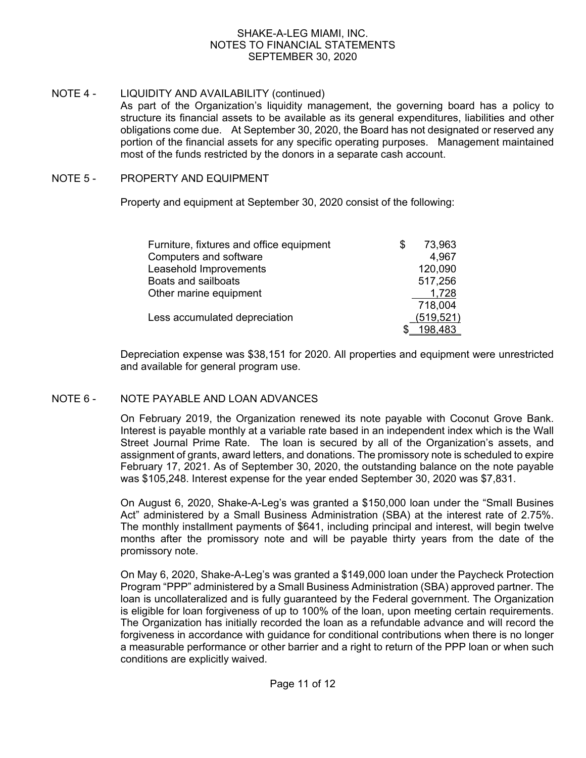# NOTE 4 - LIQUIDITY AND AVAILABILITY (continued)

 As part of the Organization's liquidity management, the governing board has a policy to structure its financial assets to be available as its general expenditures, liabilities and other obligations come due. At September 30, 2020, the Board has not designated or reserved any portion of the financial assets for any specific operating purposes. Management maintained most of the funds restricted by the donors in a separate cash account.

# NOTE 5 - PROPERTY AND EQUIPMENT

Property and equipment at September 30, 2020 consist of the following:

| Furniture, fixtures and office equipment | 73,963          |
|------------------------------------------|-----------------|
| Computers and software                   | 4,967           |
| Leasehold Improvements                   | 120,090         |
| Boats and sailboats                      | 517,256         |
| Other marine equipment                   | 1,728           |
|                                          | 718,004         |
| Less accumulated depreciation            | (519, 521)      |
|                                          | <u> 198,483</u> |

Depreciation expense was \$38,151 for 2020. All properties and equipment were unrestricted and available for general program use.

# NOTE 6 - NOTE PAYABLE AND LOAN ADVANCES

On February 2019, the Organization renewed its note payable with Coconut Grove Bank. Interest is payable monthly at a variable rate based in an independent index which is the Wall Street Journal Prime Rate. The loan is secured by all of the Organization's assets, and assignment of grants, award letters, and donations. The promissory note is scheduled to expire February 17, 2021. As of September 30, 2020, the outstanding balance on the note payable was \$105,248. Interest expense for the year ended September 30, 2020 was \$7,831.

On August 6, 2020, Shake-A-Leg's was granted a \$150,000 loan under the "Small Busines Act" administered by a Small Business Administration (SBA) at the interest rate of 2.75%. The monthly installment payments of \$641, including principal and interest, will begin twelve months after the promissory note and will be payable thirty years from the date of the promissory note.

On May 6, 2020, Shake-A-Leg's was granted a \$149,000 loan under the Paycheck Protection Program "PPP" administered by a Small Business Administration (SBA) approved partner. The loan is uncollateralized and is fully guaranteed by the Federal government. The Organization is eligible for loan forgiveness of up to 100% of the loan, upon meeting certain requirements. The Organization has initially recorded the loan as a refundable advance and will record the forgiveness in accordance with guidance for conditional contributions when there is no longer a measurable performance or other barrier and a right to return of the PPP loan or when such conditions are explicitly waived.